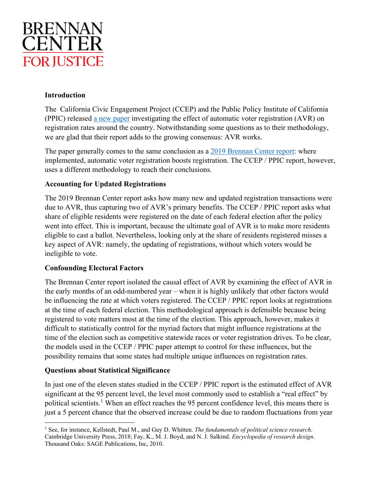

## **Introduction**

The [California Civic Engagement Project \(CCEP\) and the Public Policy Institute of California](https://ccep.usc.edu/s/USC-CCEP-Effects-of-AVR-in-the-US-Final.pdf)  [\(PPIC\)](https://ccep.usc.edu/s/USC-CCEP-Effects-of-AVR-in-the-US-Final.pdf) released [a new paper](https://ccep.usc.edu/s/USC-CCEP-Effects-of-AVR-in-the-US-Final.pdf) investigating the effect of automatic voter registration (AVR) on registration rates around the country. Notwithstanding some questions as to their methodology, we are glad that their report adds to the growing consensus: AVR works.

The paper generally comes to the same conclusion as a [2019 Brennan Center report:](https://www.brennancenter.org/our-work/research-reports/avr-impact-state-voter-registration) where implemented, automatic voter registration boosts registration. The CCEP / PPIC report, however, uses a different methodology to reach their conclusions.

## **Accounting for Updated Registrations**

The 2019 Brennan Center report asks how many new and updated registration transactions were due to AVR, thus capturing two of AVR's primary benefits. The CCEP / PPIC report asks what share of eligible residents were registered on the date of each federal election after the policy went into effect. This is important, because the ultimate goal of AVR is to make more residents eligible to cast a ballot. Nevertheless, looking only at the share of residents registered misses a key aspect of AVR: namely, the updating of registrations, without which voters would be ineligible to vote.

## **Confounding Electoral Factors**

The Brennan Center report isolated the causal effect of AVR by examining the effect of AVR in the early months of an odd-numbered year – when it is highly unlikely that other factors would be influencing the rate at which voters registered. The CCEP / PPIC report looks at registrations at the time of each federal election. This methodological approach is defensible because being registered to vote matters most at the time of the election. This approach, however, makes it difficult to statistically control for the myriad factors that might influence registrations at the time of the election such as competitive statewide races or voter registration drives. To be clear, the models used in the CCEP / PPIC paper attempt to control for these influences, but the possibility remains that some states had multiple unique influences on registration rates.

## **Questions about Statistical Significance**

In just one of the eleven states studied in the CCEP / PPIC report is the estimated effect of AVR significant at the 95 percent level, the level most commonly used to establish a "real effect" by political scientists.<sup>[1](#page-0-0)</sup> When an effect reaches the 95 percent confidence level, this means there is just a 5 percent chance that the observed increase could be due to random fluctuations from year

<span id="page-0-0"></span><sup>1</sup> See, for instance, Kellstedt, Paul M., and Guy D. Whitten. *The fundamentals of political science research*. Cambridge University Press, 2018; Fay, K., M. J. Boyd, and N. J. Salkind. *Encyclopedia of research design*. Thousand Oaks: SAGE Publications, Inc, 2010.